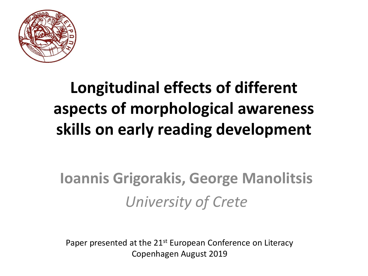

# Longitudinal effects of different aspects of morphological awareness skills on early reading development

# Ioannis Grigorakis, George Manolitsis *University of Crete*

Paper presented at the 21<sup>st</sup> European Conference on Literacy Copenhagen August 2019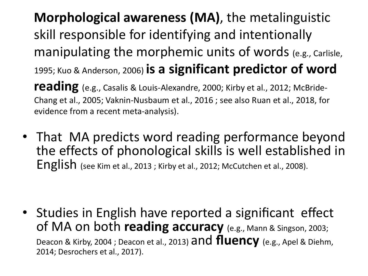- Morphological awareness (MA), the metalinguistic skill responsible for identifying and intentionally manipulating the morphemic units of words (e.g., Carlisle, 1995; Kuo & Anderson, 2006) is a significant predictor of word reading (e.g., Casalis & Louis-Alexandre, 2000; Kirby et al., 2012; McBride-Chang et al., 2005; Vaknin-Nusbaum et al., 2016 ; see also Ruan et al., 2018, for evidence from a recent meta-analysis).
- That MA predicts word reading performance beyond the effects of phonological skills is well established in English (see Kim et al., <sup>2013</sup> ; Kirby et al., 2012; McCutchen et al., 2008).

• Studies in English have reported a significant effect of MA on both reading accuracy (e.g., Mann & Singson, 2003; Deacon & Kirby, 2004 ; Deacon et al., 2013) and fluency (e.g., Apel & Diehm, 2014; Desrochers et al., 2017).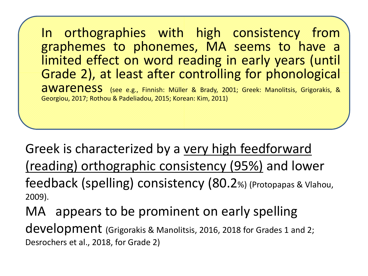In orthographies with high consistency from graphemes to phonemes, MA seems to have a limited effect on word reading in early years (until Grade 2), at least after controlling for phonological awareness (see e.g., Finnish: Müller & Brady, 2001; Greek: Manolitsis, Grigorakis, & Georgiou, 2017; Rothou & Padeliadou, 2015; Korean: Kim, 2011)

Greek is characterized by a very high feedforward (reading) orthographic consistency (95%) and lower feedback (spelling) consistency (80.2%) (Protopapas & Vlahou, 2009).

MA appears to be prominent on early spelling

development (Grigorakis & Manolitsis, 2016, 2018 for Grades 1 and 2; Desrochers et al., 2018, for Grade 2)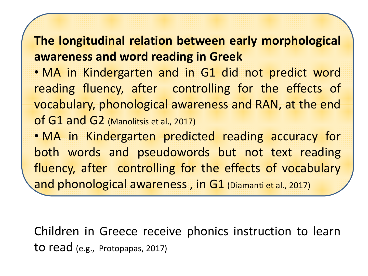### The longitudinal relation between early morphological awareness and word reading in Greek

• MA in Kindergarten and in G1 did not predict word reading fluency, after controlling for the effects of vocabulary, phonological awareness and RAN, at the end of G1 and G2 (Manolitsis et al., 2017)

• MA in Kindergarten predicted reading accuracy for both words and pseudowords but not text reading fluency, after controlling for the effects of vocabulary and phonological awareness, in G1 (Diamanti et al., 2017)

Children in Greece receive phonics instruction to learn to read (e.g., Protopapas, 2017)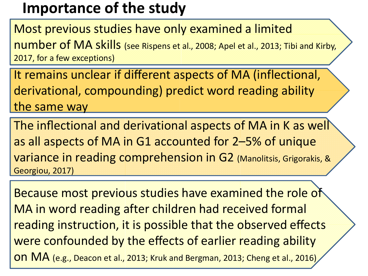### Importance of the study

Most previous studies have only examined a limited number of MA skills (see Rispens et al., 2008; Apel et al., 2013; Tibi and Kirby, 2017, for a few exceptions)

It remains unclear if different aspects of MA (inflectional, derivational, compounding) predict word reading ability the same way

The inflectional and derivational aspects of MA in K as well as all aspects of MA in G1 accounted for 2–5% of unique variance in reading comprehension in G2 (Manolitsis, Grigorakis, & Georgiou, 2017)

Because most previous studies have examined the role of MA in word reading after children had received formal reading instruction, it is possible that the observed effects were confounded by the effects of earlier reading ability on MA (e.g., Deacon et al., 2013; Kruk and Bergman, 2013; Cheng et al., 2016)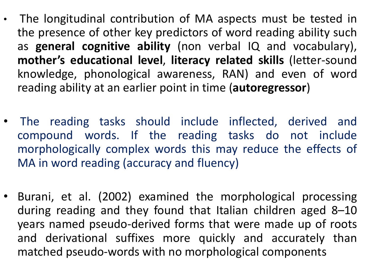- The longitudinal contribution of MA aspects must be tested in the presence of other key predictors of word reading ability such as general cognitive ability (non verbal IQ and vocabulary), mother's educational level, literacy related skills (letter-sound knowledge, phonological awareness, RAN) and even of word reading ability at an earlier point in time (autoregressor)
- The reading tasks should include inflected, derived and compound words. If the reading tasks do not include morphologically complex words this may reduce the effects of MA in word reading (accuracy and fluency)
- Burani, et al. (2002) examined the morphological processing during reading and they found that Italian children aged 8–10 years named pseudo-derived forms that were made up of roots and derivational suffixes more quickly and accurately than matched pseudo-words with no morphological components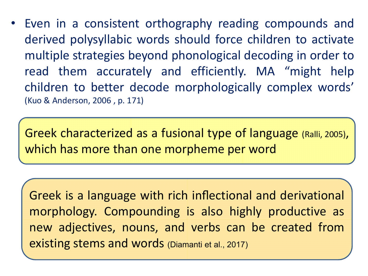• Even in a consistent orthography reading compounds and derived polysyllabic words should force children to activate multiple strategies beyond phonological decoding in order to read them accurately and efficiently. MA "might help children to better decode morphologically complex words' (Kuo & Anderson, 2006 , p. 171)

Greek characterized as a fusional type of language (Ralli, 2005), which has more than one morpheme per word

Greek is a language with rich inflectional and derivational morphology. Compounding is also highly productive as new adjectives, nouns, and verbs can be created from existing stems and words (Diamanti et al., 2017)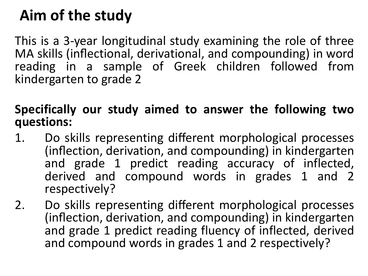# Aim of the study

This is a 3-year longitudinal study examining the role of three MA skills (inflectional, derivational, and compounding) in word reading in a sample of Greek children followed from kindergarten to grade 2

#### Specifically our study aimed to answer the following two questions:

- 1. Do skills representing different morphological processes (inflection, derivation, and compounding) in kindergarten and grade 1 predict reading accuracy of inflected, derived and compound words in grades 1 and 2 respectively?
- 2. Do skills representing different morphological processes (inflection, derivation, and compounding) in kindergarten and grade 1 predict reading fluency of inflected, derived and compound words in grades 1 and 2 respectively?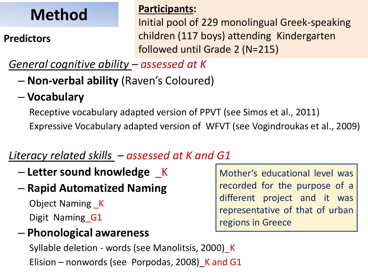# Method

#### **Predictors**

#### Participants:

Initial pool of 229 monolingual Greek-speaking children (117 boys) attending Kindergarten followed until Grade 2 (N=215)

#### *General cognitive ability – assessed at K*

- Non-verbal ability (Raven's Coloured)
- Vocabulary

Receptive vocabulary adapted version of PPVT (see Simos et al., 2011) Expressive Vocabulary adapted version of WFVT (see Vogindroukas et al., 2009)

### *Literacy related skills – assessed at K and G1*

- $-$  Letter sound knowledge  $K$
- Rapid Automatized Naming

Object Naming \_K

Digit Naming G1

#### – Phonological awareness

Syllable deletion - words (see Manolitsis, 2000)\_K Elision – nonwords (see Porpodas, 2008) K and G1

Mother's educational level was recorded for the purpose of a different project and it was representative of that of urban regions in Greece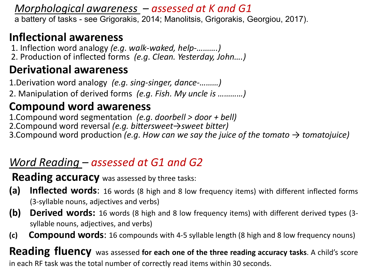*Morphological awareness – assessed at K and G1* a battery of tasks - see Grigorakis, 2014; Manolitsis, Grigorakis, Georgiou, 2017).

#### Inflectional awareness

1. Inflection word analogy *(e.g. walk-waked, help-……….)*

2. Production of inflected forms *(e.g. Clean. Yesterday, John….)*

#### Derivational awareness

1.Derivation word analogy *(e.g. sing-singer, dance-………)* 2. Manipulation of derived forms *(e.g. Fish. My uncle is …………)*

#### Compound word awareness

1.Compound word segmentation *(e.g. doorbell > door + bell)* 2.Compound word reversal *(e.g. bittersweet→sweet bitter)* 3.Compound word production *(e.g. How can we say the juice of the tomato → tomatojuice)*

#### *Word Reading – assessed at G1 and G2*

**Reading accuracy** was assessed by three tasks:

- (a) Inflected words: 16 words (8 high and 8 low frequency items) with different inflected forms (3-syllable nouns, adjectives and verbs)
- (b) Derived words: 16 words (8 high and 8 low frequency items) with different derived types (3syllable nouns, adjectives, and verbs)
- (c) Compound words: 16 compounds with 4-5 syllable length (8 high and 8 low frequency nouns)

**Reading fluency** was assessed for each one of the three reading accuracy tasks. A child's score in each RF task was the total number of correctly read items within 30 seconds.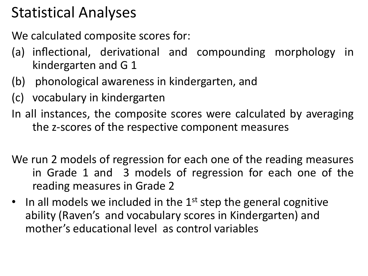## Statistical Analyses

We calculated composite scores for:

- (a) inflectional, derivational and compounding morphology in kindergarten and G 1
- (b) phonological awareness in kindergarten, and
- (c) vocabulary in kindergarten
- In all instances, the composite scores were calculated by averaging the z-scores of the respective component measures
- We run 2 models of regression for each one of the reading measures in Grade 1 and 3 models of regression for each one of the reading measures in Grade 2
- In all models we included in the  $1<sup>st</sup>$  step the general cognitive ability (Raven's and vocabulary scores in Kindergarten) and mother's educational level as control variables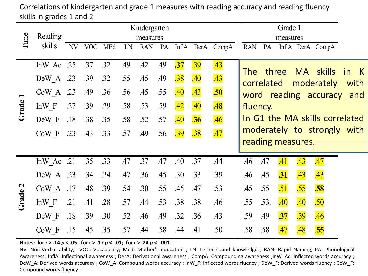|         | Reading   | Kindergarten |            |     |     |                        | Grade 1<br>measures |                  |            |                  |            |      |                  |                   |                                    |                   |              |
|---------|-----------|--------------|------------|-----|-----|------------------------|---------------------|------------------|------------|------------------|------------|------|------------------|-------------------|------------------------------------|-------------------|--------------|
| Time    | skills    | NV           | <b>VOC</b> | MEd | LN  | measures<br><b>RAN</b> | PA                  |                  |            | InflA DerA CompA | <b>RAN</b> | PA   |                  |                   | InflA DerA CompA                   |                   |              |
|         | InW Ac    | .25          | .37        | .32 | .49 | .42                    | .49                 | $\overline{.37}$ | <u>39</u>  | <b>.43</b>       |            |      |                  |                   |                                    |                   |              |
|         | DeW A     | .23          | .39        | .32 | .55 | .45                    | .49                 | .38              | <b>.40</b> | <u>.43</u>       | The        |      | three            |                   | MA skills<br>correlated moderately | <i>in</i><br>with |              |
|         | CoW A     | .23          | .49        | .36 | .56 | .45                    | .55                 | .40              | <b>.43</b> | <b>.50</b>       |            |      |                  |                   | word reading accuracy              | and               |              |
| Grade   | In $W$ F  | .27          | .39        | .29 | .58 | .53                    | .59                 | <u>.42</u>       | <b>.40</b> | <b>.48</b>       | fluency.   |      |                  |                   |                                    |                   | $\mathsf{K}$ |
|         | DeW F     | .18          | .38        | .35 | .58 | .52                    | .57                 | .40              | <b>.36</b> | <b>.46</b>       |            |      |                  |                   | In G1 the MA skills correlated     |                   |              |
|         | CoW F     | .23          | .43        | .33 | .57 | .49                    | .56                 | 39               | .38        | .47              |            |      |                  |                   | moderately to strongly with        |                   |              |
|         |           |              |            |     |     |                        |                     |                  |            |                  |            |      |                  | reading measures. |                                    |                   |              |
|         | InW Ac    | .21          | .35        | .33 | .47 | .37                    | .47                 | .40              | .37        | .44              | .46        | .47  | .41              | <b>.43</b>        | <b>.47</b>                         |                   |              |
|         | DeW A .23 |              | .34        | .24 | .47 | .36                    | .45                 | .30              | .33        | .39              | .46        | .45  | $\overline{.31}$ | <b>.43</b>        | <b>.43</b>                         |                   |              |
|         | CoW A     | .17          | .48        | .39 | .54 | .30                    | .55                 | .45              | .47        | .53              | .45        | .55  | .51              | .55               | .58                                |                   |              |
| Grade 2 | In $W$ F  | .21          | .41        | .28 | .57 | .44                    | .53                 | .38              | .38        | .46              | .55        | .53. | .40              | .40               | .50                                |                   |              |
|         | DeW F     | .18          | .39        | .30 | .52 | .46                    | .49                 | .32              | .36        | .43              | .59        | .49  | $\overline{.37}$ | .39               | .46                                |                   |              |
|         | CoW F     | .15          | .45        | .35 | .57 | .44                    | .58                 | .44              | .41        | .50              | .58        | .58  | .47              | .48               | .55                                |                   |              |

Correlations of kindergarten and grade 1 measures with reading accuracy and reading fluency skills in grades 1 and 2

Notes: for r > .14 *p* < .05 ; for r > .17 *p* < .01; for r > .24 *p* < .001

NV: Non-Verbal ability; VOC: Vocabulary; Med: Mother's education ; LN: Letter sound knowledge ; RAN: Rapid Naming; PA: Phonological Awareness; InflA: Inflectional awareness ; DerA: Derivational awareness ; CompA: Compounding awareness ;InW\_Ac: Inflected words accuracy ; DeW\_A: Derived words accuracy ; CoW\_A: Compound words accuracy ; InW\_F: Inflected words fluency ; DeW\_F: Derived words fluency ; CoW\_F: Compound words fluency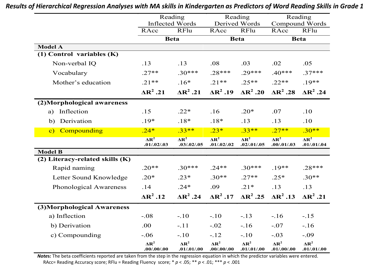|                                     | Reading<br><b>Inflected Words</b>         |                                         |                                         | Reading<br>Derived Words                | Compound Words                          | Reading                                 |  |
|-------------------------------------|-------------------------------------------|-----------------------------------------|-----------------------------------------|-----------------------------------------|-----------------------------------------|-----------------------------------------|--|
|                                     | RAcc                                      | RFlu                                    | RAcc                                    | <b>RFlu</b>                             | RAcc                                    | <b>RFlu</b>                             |  |
|                                     | <b>Beta</b>                               |                                         |                                         | <b>Beta</b>                             |                                         | <b>Beta</b>                             |  |
| <b>Model A</b>                      |                                           |                                         |                                         |                                         |                                         |                                         |  |
| (1) Control variables (K)           |                                           |                                         |                                         |                                         |                                         |                                         |  |
| Non-verbal IQ                       | .13                                       | .13                                     | .08                                     | .03                                     | .02                                     | .05                                     |  |
| Vocabulary                          | $.27**$                                   | $.30***$                                | $.28***$                                | $.29***$                                | $.40***$                                | $.37***$                                |  |
| Mother's education                  | $.21**$                                   | $.16*$                                  | $.21**$                                 | $.25**$                                 | $.22**$                                 | $.19**$                                 |  |
|                                     | $\Delta R^2$ .21                          | $\Delta R^2$ .21                        | $\Delta R^2$ .19                        | $\Delta R^2$ .20                        | $AR^2$ .28                              | $\Delta R^2$ .24                        |  |
| (2)Morphological awareness          |                                           |                                         |                                         |                                         |                                         |                                         |  |
| Inflection<br>a)                    | .15                                       | $.22*$                                  | .16                                     | $.20*$                                  | .07                                     | .10                                     |  |
| b) Derivation                       | $.19*$                                    | $.18*$                                  | $.18*$                                  | .13                                     | .13                                     | .10                                     |  |
| c) Compounding                      | $.24*$                                    | $.33**$                                 | $.23*$                                  | $.33**$                                 | $.27**$                                 | $.30**$                                 |  |
|                                     | $\overline{\mathbf{AR}^2}$<br>.01/.02/.03 | $\overline{\text{AR}^2}$<br>.03/.02/.05 | $\overline{\text{AR}^2}$<br>.01/.02/.02 | $\overline{\text{AR}^2}$<br>.02/.01/.05 | $\overline{\text{AR}^2}$<br>.00/.01/.03 | $\overline{\text{AR}^2}$<br>.01/.01/.04 |  |
| <b>Model B</b>                      |                                           |                                         |                                         |                                         |                                         |                                         |  |
| $(2)$ Literacy-related skills $(K)$ |                                           |                                         |                                         |                                         |                                         |                                         |  |
| Rapid naming                        | $.20**$                                   | $.30***$                                | $.24**$                                 | $.30***$                                | $.19**$                                 | $.28***$                                |  |
| Letter Sound Knowledge              | $.20*$                                    | $.23*$                                  | $.30**$                                 | $.27**$                                 | $.25*$                                  | $.30**$                                 |  |
| Phonological Awareness              | .14                                       | $.24*$                                  | .09                                     | $.21*$                                  | .13                                     | .13                                     |  |
|                                     | $\Delta R^2$ .12                          | $\Delta R^2$ .24                        | $\Delta R^2$ .17                        | $\Delta R^2$ .25                        | $\Delta R^2$ .13                        | $\Delta R^2$ .21                        |  |
| (3)Morphological Awareness          |                                           |                                         |                                         |                                         |                                         |                                         |  |
| a) Inflection                       | $-.08$                                    | $-.10$                                  | $-.10$                                  | $-.13$                                  | $-.16$                                  | $-.15$                                  |  |
| b) Derivation                       | .00                                       | $-.11$                                  | $-.02$                                  | $-.16$                                  | $-.07$                                  | $-.16$                                  |  |
| c) Compounding                      | $-.06$                                    | $-.10$                                  | $-.12$                                  | $-.10$                                  | $-.03$                                  | $-.09$                                  |  |
|                                     | $\Delta R^2$<br>.00/.00/.00.              | $\Delta R^2$<br>.01/.01/.00             | $\Delta R^2$<br>.00/.00/.00.            | $\Delta R^2$<br>.01/.01/.00             | $\Delta R^2$<br>.01/.00/.00             | $\Delta R^2$<br>.01/.01/.00             |  |

*Results of Hierarchical Regression Analyses with MA skills in Kindergarten as Predictors of Word Reading Skills in Grade 1*

*Note*s: The beta coefficients reported are taken from the step in the regression equation in which the predictor variables were entered. RAcc= Reading Accuracy score; RFlu = Reading Fluency score; \* *p* < .05; \*\* *p* < .01; \*\*\* *p* < .001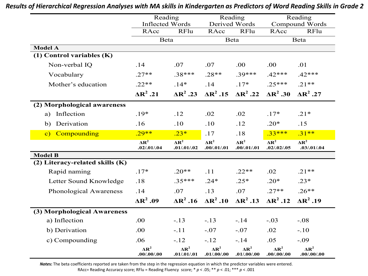|                                     | Reading<br><b>Inflected Words</b>       |                                           |                                | Reading<br>Derived Words    |                                           | Reading<br>Compound Words                   |  |
|-------------------------------------|-----------------------------------------|-------------------------------------------|--------------------------------|-----------------------------|-------------------------------------------|---------------------------------------------|--|
|                                     | RAcc                                    | <b>RFlu</b>                               | RAcc                           | <b>RFlu</b>                 | RAcc                                      | <b>RFlu</b>                                 |  |
|                                     | <b>Beta</b>                             |                                           |                                | Beta                        | <b>Beta</b>                               |                                             |  |
| <b>Model A</b>                      |                                         |                                           |                                |                             |                                           |                                             |  |
| (1) Control variables (K)           |                                         |                                           |                                |                             |                                           |                                             |  |
| Non-verbal IQ                       | .14                                     | .07                                       | .07                            | .00                         | .00                                       | .01                                         |  |
| Vocabulary                          | $.27**$                                 | $.38***$                                  | $.28**$                        | $.39***$                    | $.42***$                                  | $.42***$                                    |  |
| Mother's education                  | $.22**$                                 | $.14*$                                    | .14                            | $.17*$                      | $.25***$                                  | $.21**$                                     |  |
|                                     | $\Delta R^2$ .21                        | $\Delta R^2$ .23                          | $\Delta R^2$ .15               | $\Delta R^2$ .22            | $\Delta R^2$ .30                          | $\Delta R^2$ .27                            |  |
| (2) Morphological awareness         |                                         |                                           |                                |                             |                                           |                                             |  |
| Inflection<br>a)                    | $.19*$                                  | .12                                       | .02                            | .02                         | $.17*$                                    | $.21*$                                      |  |
| Derivation<br>b)                    | .16                                     | .10                                       | .10                            | .12                         | $.20*$                                    | .15                                         |  |
| c) Compounding                      | $.29**$                                 | $.23*$                                    | .17                            | .18                         | $.33***$                                  | $.31***$                                    |  |
|                                     | $\overline{\text{AR}^2}$<br>.02/.01/.04 | $\overline{\mathbf{AR}^2}$<br>.01/.01/.02 | $\mathbf{AR}^2$<br>.00/.01/.01 | $\Delta R^2$<br>.00/.01/.01 | $\overline{\mathbf{AR}^2}$<br>.02/.02/.05 | $\overline{\mathbf{AR}^2}$<br>.03/0.01/0.04 |  |
| <b>Model B</b>                      |                                         |                                           |                                |                             |                                           |                                             |  |
| $(2)$ Literacy-related skills $(K)$ |                                         |                                           |                                |                             |                                           |                                             |  |
| Rapid naming                        | $.17*$                                  | $.20**$                                   | .11                            | $.22**$                     | .02                                       | $.21**$                                     |  |
| Letter Sound Knowledge              | .18                                     | $.35***$                                  | $.24*$                         | $.25*$                      | $.20*$                                    | $.23*$                                      |  |
| Phonological Awareness              | .14                                     | .07                                       | .13                            | .07                         | $.27**$                                   | $.26**$                                     |  |
|                                     | $\Delta R^2$ .09                        | $\Delta R^2$ .16                          | $AR^2.10$                      | $AR^2$ .13                  | $\Delta R^2$ .12                          | $\Delta R^2$ .19                            |  |
| (3) Morphological Awareness         |                                         |                                           |                                |                             |                                           |                                             |  |
| a) Inflection                       | .00                                     | $-.13$                                    | $-.13$                         | $-.14$                      | $-.03$                                    | $-.08$                                      |  |
| b) Derivation                       | .00                                     | $-.11$                                    | $-.07$                         | $-.07$                      | .02                                       | $-.10$                                      |  |
| c) Compounding                      | .06                                     | $-.12$                                    | $-.12$                         | $-.14$                      | .05                                       | $-.09$                                      |  |
|                                     | $\Delta R^2$<br>.00/.00/.00             | $\Delta R^2$<br>.01/.01/.01               | $\Delta R^2$<br>.01/.00/.00    | $\Delta R^2$<br>.01/.00/.00 | $\Delta R^2$<br>.00/.00/.00.              | $\Delta R^2$<br>.00/.00/.00                 |  |

*Results of Hierarchical Regression Analyses with MA skills in Kindergarten as Predictors of Word Reading Skills in Grade 2*

*Note*s: The beta coefficients reported are taken from the step in the regression equation in which the predictor variables were entered.

RAcc= Reading Accuracy score; RFlu = Reading Fluency score; \* *p* < .05; \*\* *p* < .01; \*\*\* *p* < .001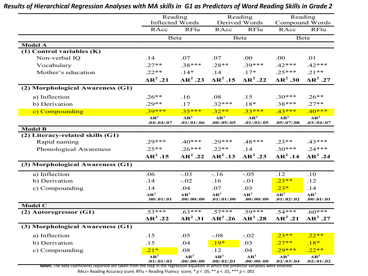|                                  | Reading<br><b>Inflected Words</b>                      |                                                        | Reading<br>Derived Words                  |                                       |                                                        | Reading<br>Compound Words                 |  |
|----------------------------------|--------------------------------------------------------|--------------------------------------------------------|-------------------------------------------|---------------------------------------|--------------------------------------------------------|-------------------------------------------|--|
|                                  | RAcc                                                   | <b>RFlu</b>                                            | RAcc                                      | RFlu                                  | RAcc                                                   | RFlu                                      |  |
|                                  | <b>Beta</b>                                            |                                                        | Beta                                      |                                       | <b>Beta</b>                                            |                                           |  |
| <b>Model A</b>                   |                                                        |                                                        |                                           |                                       |                                                        |                                           |  |
| (1) Control variables (K)        |                                                        |                                                        |                                           |                                       |                                                        |                                           |  |
| Non-verbal IQ                    | .14                                                    | .07                                                    | .07                                       | .00                                   | .00                                                    | .01                                       |  |
| Vocabulary                       | $.27**$                                                | $.38***$                                               | $.28**$                                   | $.39***$                              | $.42***$                                               | $.42***$                                  |  |
| Mother's education               | $.22**$                                                | $.14*$                                                 | .14                                       | $.17*$                                | $.25***$                                               | $.21**$                                   |  |
|                                  | $\Delta R^2$ .21                                       | $\Delta R^2$ .23                                       | $AR^2$ .15                                | $\triangle R^2$ .22                   | $\Delta R^2$ .30                                       | $\Delta R^2$ .27                          |  |
| (2) Morphological Awareness (G1) |                                                        |                                                        |                                           |                                       |                                                        |                                           |  |
| a) Inflection                    | $.26**$                                                | .16                                                    | .08                                       | .15                                   | $.30***$                                               | $.26**$                                   |  |
| b) Derivation                    | $.29**$                                                | .17                                                    | $.32***$                                  | $.18*$                                | $.38***$                                               | $.27**$                                   |  |
| c) Compounding                   | $.39***$                                               | $.35***$                                               | $.32**$                                   | $.33***$                              | $.43***$                                               | $.40***$                                  |  |
|                                  | $\overline{\text{AR}^2}$<br>.04/.04/.07                | $\overline{\bf A}$ $\overline{\bf R}^2$<br>.01/.01/.06 | $\overline{\mathbf{AR}^2}$<br>.00/.05/.05 | $\overline{\bf{AR}^2}$<br>.01/.02/.05 | $\overline{\bf A}$ $\overline{\bf R}^2$<br>.05/.07/.08 | $\overline{\mathbf{AR}^2}$<br>.03/.04/.07 |  |
| <b>Model B</b>                   |                                                        |                                                        |                                           |                                       |                                                        |                                           |  |
| (2) Literacy-related skills (G1) |                                                        |                                                        |                                           |                                       |                                                        |                                           |  |
| Rapid naming                     | $.29***$                                               | $.40***$                                               | $.29***$                                  | $.48***$                              | $.23**$                                                | $.43***$                                  |  |
| Phonological Awareness           | $.25**$                                                | $.26***$                                               | $.22**$                                   | .14                                   | $.30***$                                               | $.24***$                                  |  |
|                                  | $\Delta R^2$ .15                                       | $\Delta R^2$ .22                                       | $\Delta R^2$ .13                          | $\Delta R^2$ .23                      | $\Delta R^2$ .14                                       | $\triangle R^2$ .24                       |  |
| (3) Morphological Awareness (G1) |                                                        |                                                        |                                           |                                       |                                                        |                                           |  |
| a) Inflection                    | .06                                                    | $-.03$                                                 | $-.16$                                    | $-.05$                                | .12                                                    | .10                                       |  |
| b) Derivation                    | .14                                                    | $-.02$                                                 | .16                                       | $-.01$                                | $.23**$                                                | .12                                       |  |
| c) Compounding                   | .14                                                    | .04                                                    | .07                                       | .03                                   | $.23*$                                                 | .14                                       |  |
|                                  | $\Delta R^2$<br>.00/0.01/0.01                          | $\Delta R^2$<br>.00/.00/.00.                           | $\Delta R^2$<br>.01/.01/.00               | $\Delta R^2$<br>.00/.00/.00           | $\overline{\bf{AR}^2}$<br>.01/.02/.02                  | $\Delta R^2$<br>.00/0.01/0.01             |  |
| Model C                          |                                                        |                                                        |                                           |                                       |                                                        |                                           |  |
| (2) Autoregressor (G1)           | $.53***$                                               | $.63***$                                               | $.57***$                                  | $.59***$                              | $.54***$                                               | $.60***$                                  |  |
|                                  | $\triangle R^2$ .22                                    | $\Delta R^2$ .31                                       | $AR^2$ .26                                | $\Delta R^2$ .28                      | $\Delta R^2$ .21                                       | $\Delta R^2$ .27                          |  |
| (3) Morphological Awareness (G1) |                                                        |                                                        |                                           |                                       |                                                        |                                           |  |
| a) Inflection                    | .15                                                    | .05                                                    | $-.08$                                    | $-.02$                                | $.23**$                                                | $.22**$                                   |  |
| b) Derivation                    | .15                                                    | .04                                                    | $.19*$                                    | .03                                   | $.27**$                                                | $.18*$                                    |  |
| c) Compounding                   | $.21*$                                                 | .08                                                    | .12                                       | .04                                   | $.29***$                                               | $.22**$                                   |  |
|                                  | $\overline{\bf A}$ $\overline{\bf R}^2$<br>.01/.01/.02 | $\Delta R^2$<br>.00/.00/.00                            | $\Delta R^2$<br>.00/.02/.01               | $\Delta R^2$<br>.00/.00/.00.          | $\overline{\text{AR}^2}$<br>.02/.03/.04                | $\overline{\bf{AR}^2}$<br>.02/.01/.02     |  |

*Results of Hierarchical Regression Analyses with MA skills in G1 as Predictors of Word Reading Skills in Grade 2*

*Note*s: The beta coefficients reported are taken from the step in the regression equation in which the predictor variables were entered.

RAcc= Reading Accuracy score; RFlu = Reading Fluency score; \* *p* < .05; \*\* *p* < .01; \*\*\* *p* < .001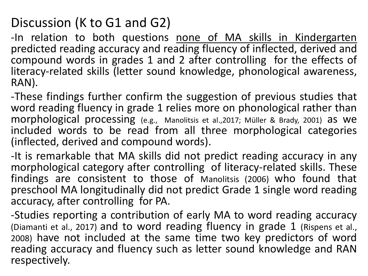### Discussion (K to G1 and G2)

-In relation to both questions none of MA skills in Kindergarten predicted reading accuracy and reading fluency of inflected, derived and compound words in grades 1 and 2 after controlling for the effects of literacy-related skills (letter sound knowledge, phonological awareness, RAN).

-These findings further confirm the suggestion of previous studies that word reading fluency in grade 1 relies more on phonological rather than morphological processing (e.g., Manolitsis et al.,2017; Müller & Brady, 2001) as we included words to be read from all three morphological categories (inflected, derived and compound words).

-It is remarkable that MA skills did not predict reading accuracy in any morphological category after controlling of literacy-related skills. These findings are consistent to those of Manolitsis (2006) who found that preschool MA longitudinally did not predict Grade 1 single word reading accuracy, after controlling for PA.

-Studies reporting a contribution of early MA to word reading accuracy (Diamanti et al., 2017) and to word reading fluency in grade 1 (Rispens et al., 2008) have not included at the same time two key predictors of word reading accuracy and fluency such as letter sound knowledge and RAN respectively.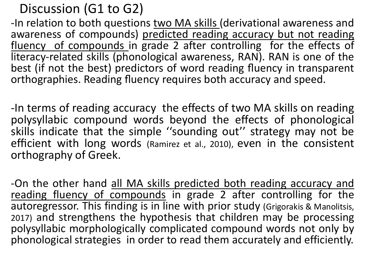Discussion (G1 to G2)

-In relation to both questions two MA skills (derivational awareness and awareness of compounds) predicted reading accuracy but not reading fluency of compounds in grade 2 after controlling for the effects of literacy-related skills (phonological awareness, RAN). RAN is one of the best (if not the best) predictors of word reading fluency in transparent orthographies. Reading fluency requires both accuracy and speed.

-In terms of reading accuracy the effects of two MA skills on reading polysyllabic compound words beyond the effects of phonological skills indicate that the simple ''sounding out'' strategy may not be efficient with long words (Ramirez et al., 2010), even in the consistent orthography of Greek.

-On the other hand all MA skills predicted both reading accuracy and reading fluency of compounds in grade 2 after controlling for the autoregressor. This finding is in line with prior study (Grigorakis & Manolitsis, 2017) and strengthens the hypothesis that children may be processing polysyllabic morphologically complicated compound words not only by phonological strategies in order to read them accurately and efficiently.